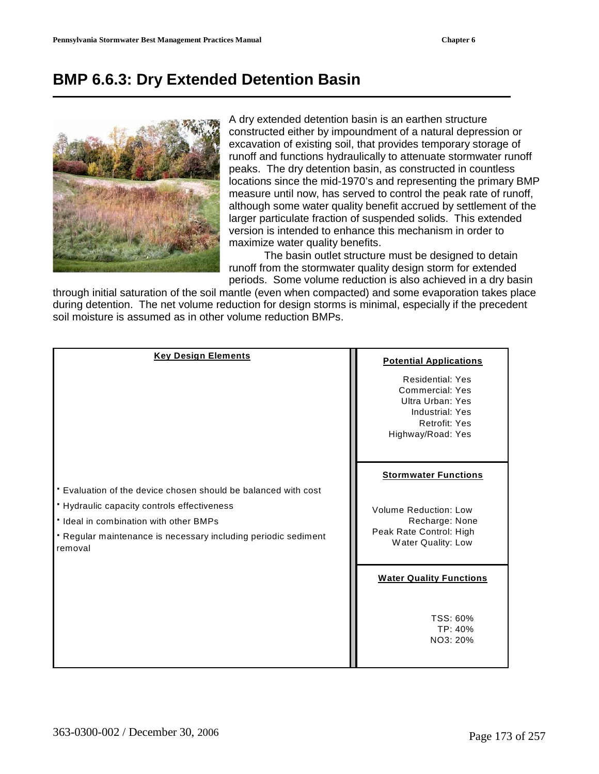# **BMP 6.6.3: Dry Extended Detention Basin**



A dry extended detention basin is an earthen structure constructed either by impoundment of a natural depression or excavation of existing soil, that provides temporary storage of runoff and functions hydraulically to attenuate stormwater runoff peaks. The dry detention basin, as constructed in countless locations since the mid-1970's and representing the primary BMP measure until now, has served to control the peak rate of runoff, although some water quality benefit accrued by settlement of the larger particulate fraction of suspended solids. This extended version is intended to enhance this mechanism in order to maximize water quality benefits.

 The basin outlet structure must be designed to detain runoff from the stormwater quality design storm for extended periods. Some volume reduction is also achieved in a dry basin

through initial saturation of the soil mantle (even when compacted) and some evaporation takes place during detention. The net volume reduction for design storms is minimal, especially if the precedent soil moisture is assumed as in other volume reduction BMPs.

| <b>Key Design Elements</b>                                                                                                                                                                                                           | <b>Potential Applications</b><br><b>Residential: Yes</b><br>Commercial: Yes<br>Ultra Urban: Yes<br>Industrial: Yes<br><b>Retrofit: Yes</b><br>Highway/Road: Yes |
|--------------------------------------------------------------------------------------------------------------------------------------------------------------------------------------------------------------------------------------|-----------------------------------------------------------------------------------------------------------------------------------------------------------------|
| . Evaluation of the device chosen should be balanced with cost<br>• Hydraulic capacity controls effectiveness<br>· Ideal in combination with other BMPs<br>• Regular maintenance is necessary including periodic sediment<br>removal | <b>Stormwater Functions</b><br><b>Volume Reduction: Low</b><br>Recharge: None<br>Peak Rate Control: High<br>Water Quality: Low                                  |
|                                                                                                                                                                                                                                      | <b>Water Quality Functions</b><br>TSS: 60%<br>TP: 40%<br>NO3: 20%                                                                                               |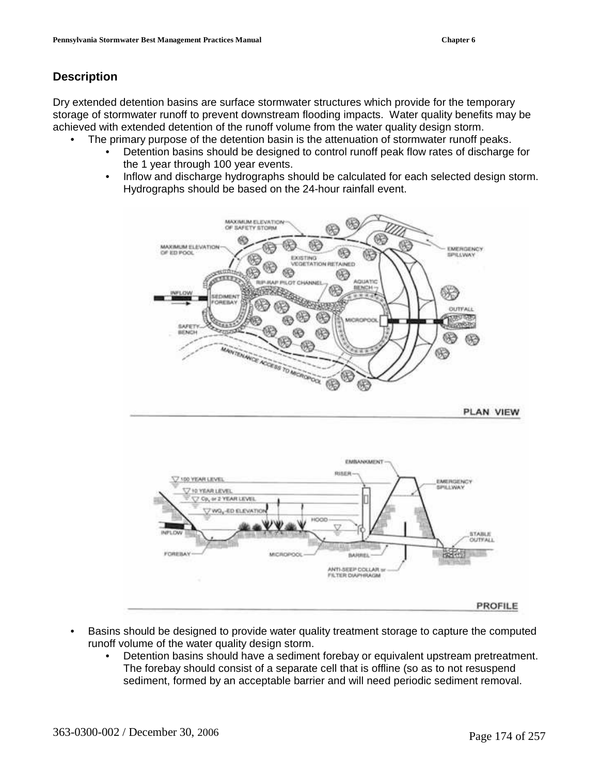# **Description**

Dry extended detention basins are surface stormwater structures which provide for the temporary storage of stormwater runoff to prevent downstream flooding impacts. Water quality benefits may be achieved with extended detention of the runoff volume from the water quality design storm.

- The primary purpose of the detention basin is the attenuation of stormwater runoff peaks.
	- Detention basins should be designed to control runoff peak flow rates of discharge for the 1 year through 100 year events.
	- Inflow and discharge hydrographs should be calculated for each selected design storm. Hydrographs should be based on the 24-hour rainfall event.



- Basins should be designed to provide water quality treatment storage to capture the computed runoff volume of the water quality design storm.
	- Detention basins should have a sediment forebay or equivalent upstream pretreatment. The forebay should consist of a separate cell that is offline (so as to not resuspend sediment, formed by an acceptable barrier and will need periodic sediment removal.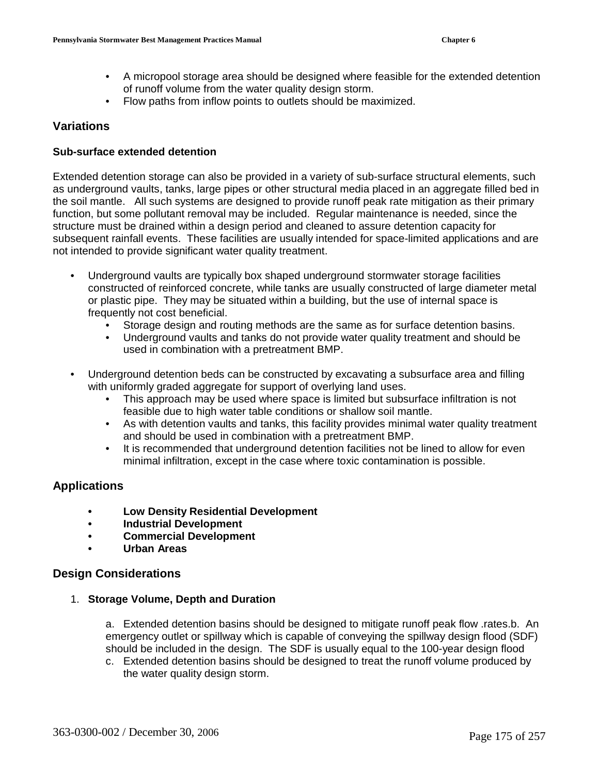- A micropool storage area should be designed where feasible for the extended detention of runoff volume from the water quality design storm.
- Flow paths from inflow points to outlets should be maximized.

## **Variations**

#### **Sub-surface extended detention**

Extended detention storage can also be provided in a variety of sub-surface structural elements, such as underground vaults, tanks, large pipes or other structural media placed in an aggregate filled bed in the soil mantle. All such systems are designed to provide runoff peak rate mitigation as their primary function, but some pollutant removal may be included. Regular maintenance is needed, since the structure must be drained within a design period and cleaned to assure detention capacity for subsequent rainfall events. These facilities are usually intended for space-limited applications and are not intended to provide significant water quality treatment.

- Underground vaults are typically box shaped underground stormwater storage facilities constructed of reinforced concrete, while tanks are usually constructed of large diameter metal or plastic pipe. They may be situated within a building, but the use of internal space is frequently not cost beneficial.
	- Storage design and routing methods are the same as for surface detention basins.
	- Underground vaults and tanks do not provide water quality treatment and should be used in combination with a pretreatment BMP.
- Underground detention beds can be constructed by excavating a subsurface area and filling with uniformly graded aggregate for support of overlying land uses.
	- This approach may be used where space is limited but subsurface infiltration is not feasible due to high water table conditions or shallow soil mantle.
	- As with detention vaults and tanks, this facility provides minimal water quality treatment and should be used in combination with a pretreatment BMP.
	- It is recommended that underground detention facilities not be lined to allow for even minimal infiltration, except in the case where toxic contamination is possible.

## **Applications**

- **Low Density Residential Development**
- **Industrial Development**
- **Commercial Development**
- **Urban Areas**

#### **Design Considerations**

#### 1. **Storage Volume, Depth and Duration**

a. Extended detention basins should be designed to mitigate runoff peak flow .rates.b. An emergency outlet or spillway which is capable of conveying the spillway design flood (SDF) should be included in the design. The SDF is usually equal to the 100-year design flood

c. Extended detention basins should be designed to treat the runoff volume produced by the water quality design storm.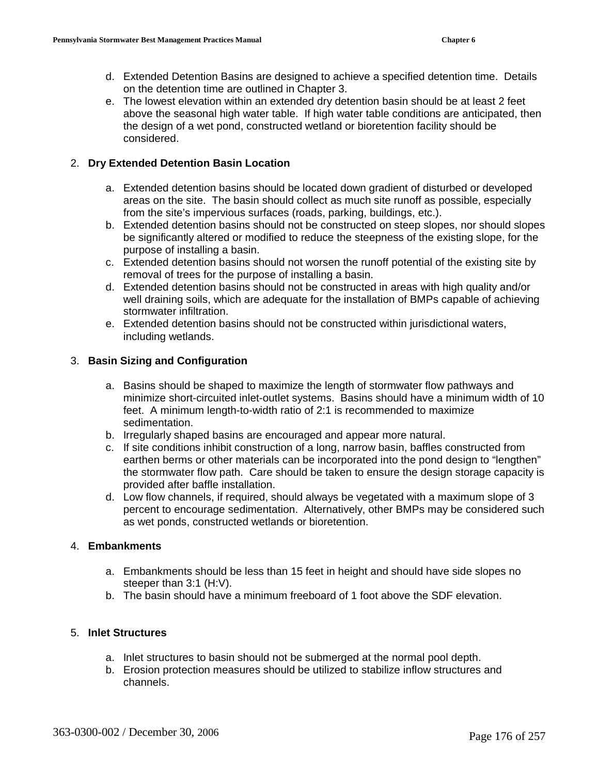- d. Extended Detention Basins are designed to achieve a specified detention time. Details on the detention time are outlined in Chapter 3.
- e. The lowest elevation within an extended dry detention basin should be at least 2 feet above the seasonal high water table. If high water table conditions are anticipated, then the design of a wet pond, constructed wetland or bioretention facility should be considered.

## 2. **Dry Extended Detention Basin Location**

- a. Extended detention basins should be located down gradient of disturbed or developed areas on the site. The basin should collect as much site runoff as possible, especially from the site's impervious surfaces (roads, parking, buildings, etc.).
- b. Extended detention basins should not be constructed on steep slopes, nor should slopes be significantly altered or modified to reduce the steepness of the existing slope, for the purpose of installing a basin.
- c. Extended detention basins should not worsen the runoff potential of the existing site by removal of trees for the purpose of installing a basin.
- d. Extended detention basins should not be constructed in areas with high quality and/or well draining soils, which are adequate for the installation of BMPs capable of achieving stormwater infiltration.
- e. Extended detention basins should not be constructed within jurisdictional waters, including wetlands.

## 3. **Basin Sizing and Configuration**

- a. Basins should be shaped to maximize the length of stormwater flow pathways and minimize short-circuited inlet-outlet systems. Basins should have a minimum width of 10 feet. A minimum length-to-width ratio of 2:1 is recommended to maximize sedimentation.
- b. Irregularly shaped basins are encouraged and appear more natural.
- c. If site conditions inhibit construction of a long, narrow basin, baffles constructed from earthen berms or other materials can be incorporated into the pond design to "lengthen" the stormwater flow path. Care should be taken to ensure the design storage capacity is provided after baffle installation.
- d. Low flow channels, if required, should always be vegetated with a maximum slope of 3 percent to encourage sedimentation. Alternatively, other BMPs may be considered such as wet ponds, constructed wetlands or bioretention.

#### 4. **Embankments**

- a. Embankments should be less than 15 feet in height and should have side slopes no steeper than 3:1 (H:V).
- b. The basin should have a minimum freeboard of 1 foot above the SDF elevation.

#### 5. **Inlet Structures**

- a. Inlet structures to basin should not be submerged at the normal pool depth.
- b. Erosion protection measures should be utilized to stabilize inflow structures and channels.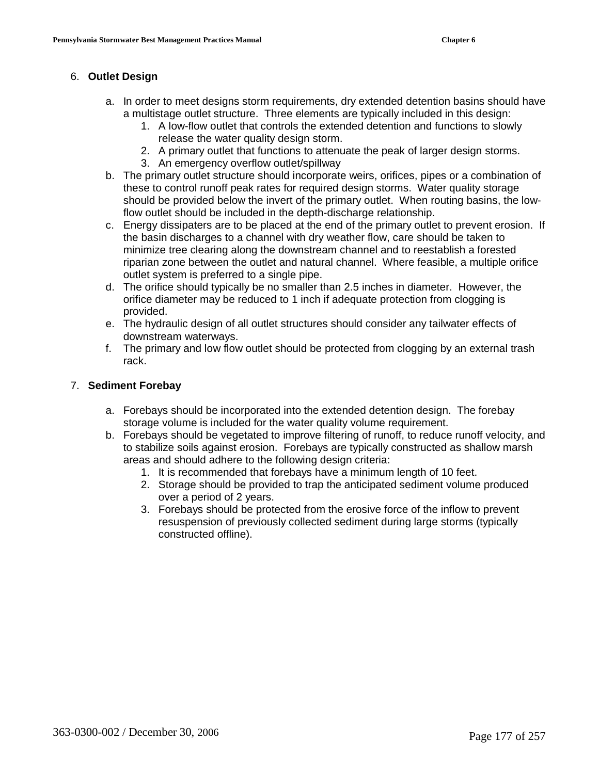#### 6. **Outlet Design**

- a. In order to meet designs storm requirements, dry extended detention basins should have a multistage outlet structure. Three elements are typically included in this design:
	- 1. A low-flow outlet that controls the extended detention and functions to slowly release the water quality design storm.
	- 2. A primary outlet that functions to attenuate the peak of larger design storms.
	- 3. An emergency overflow outlet/spillway
- b. The primary outlet structure should incorporate weirs, orifices, pipes or a combination of these to control runoff peak rates for required design storms.Water quality storage should be provided below the invert of the primary outlet. When routing basins, the lowflow outlet should be included in the depth-discharge relationship.
- c. Energy dissipaters are to be placed at the end of the primary outlet to prevent erosion. If the basin discharges to a channel with dry weather flow, care should be taken to minimize tree clearing along the downstream channel and to reestablish a forested riparian zone between the outlet and natural channel. Where feasible, a multiple orifice outlet system is preferred to a single pipe.
- d. The orifice should typically be no smaller than 2.5 inches in diameter. However, the orifice diameter may be reduced to 1 inch if adequate protection from clogging is provided.
- e. The hydraulic design of all outlet structures should consider any tailwater effects of downstream waterways.
- f. The primary and low flow outlet should be protected from clogging by an external trash rack.

## 7. **Sediment Forebay**

- a. Forebays should be incorporated into the extended detention design. The forebay storage volume is included for the water quality volume requirement.
- b. Forebays should be vegetated to improve filtering of runoff, to reduce runoff velocity, and to stabilize soils against erosion. Forebays are typically constructed as shallow marsh areas and should adhere to the following design criteria:
	- 1. It is recommended that forebays have a minimum length of 10 feet.
	- 2. Storage should be provided to trap the anticipated sediment volume produced over a period of 2 years.
	- 3. Forebays should be protected from the erosive force of the inflow to prevent resuspension of previously collected sediment during large storms (typically constructed offline).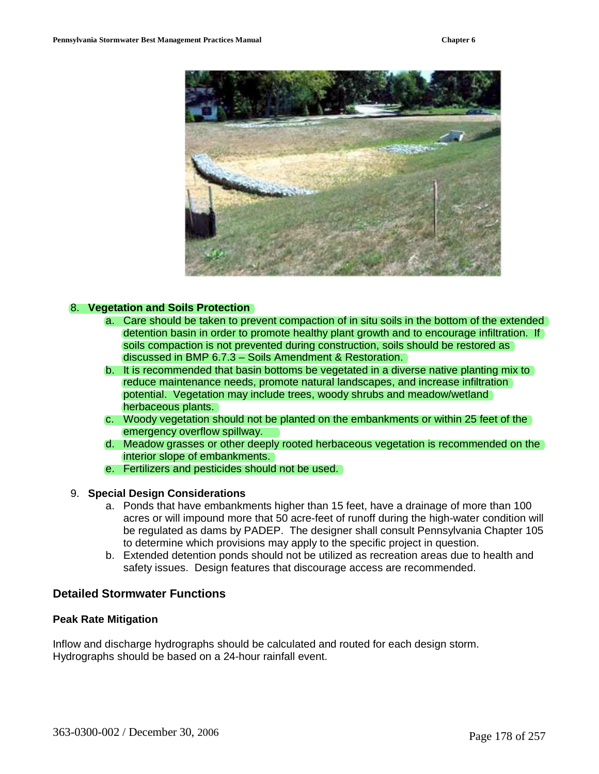

#### 8. **Vegetation and Soils Protection**

- a. Care should be taken to prevent compaction of in situ soils in the bottom of the extended detention basin in order to promote healthy plant growth and to encourage infiltration. If soils compaction is not prevented during construction, soils should be restored as discussed in BMP 6.7.3 – Soils Amendment & Restoration.
- b. It is recommended that basin bottoms be vegetated in a diverse native planting mix to reduce maintenance needs, promote natural landscapes, and increase infiltration potential. Vegetation may include trees, woody shrubs and meadow/wetland herbaceous plants.
- c. Woody vegetation should not be planted on the embankments or within 25 feet of the emergency overflow spillway.
- d. Meadow grasses or other deeply rooted herbaceous vegetation is recommended on the interior slope of embankments.
- e. Fertilizers and pesticides should not be used.

#### 9. **Special Design Considerations**

- a. Ponds that have embankments higher than 15 feet, have a drainage of more than 100 acres or will impound more that 50 acre-feet of runoff during the high-water condition will be regulated as dams by PADEP. The designer shall consult Pennsylvania Chapter 105 to determine which provisions may apply to the specific project in question.
- b. Extended detention ponds should not be utilized as recreation areas due to health and safety issues. Design features that discourage access are recommended.

## **Detailed Stormwater Functions**

#### **Peak Rate Mitigation**

Inflow and discharge hydrographs should be calculated and routed for each design storm. Hydrographs should be based on a 24-hour rainfall event.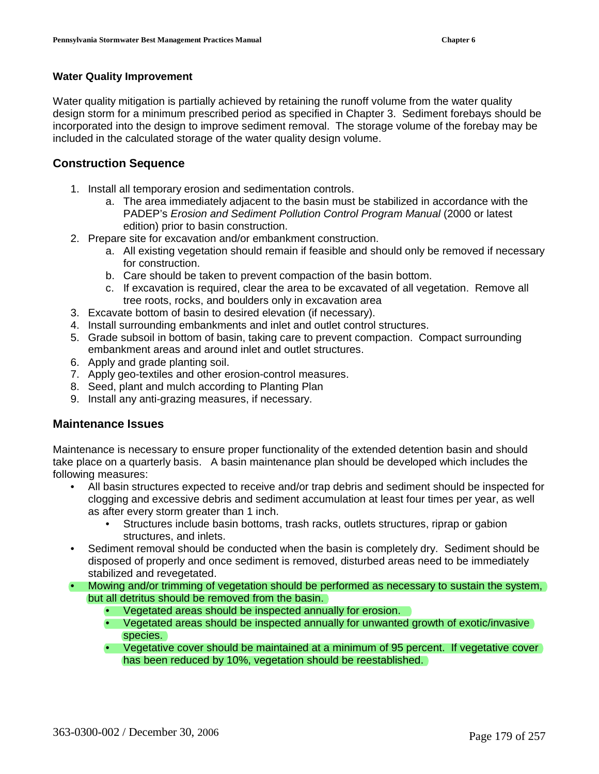#### **Water Quality Improvement**

Water quality mitigation is partially achieved by retaining the runoff volume from the water quality design storm for a minimum prescribed period as specified in Chapter 3. Sediment forebays should be incorporated into the design to improve sediment removal. The storage volume of the forebay may be included in the calculated storage of the water quality design volume.

## **Construction Sequence**

- 1. Install all temporary erosion and sedimentation controls.
	- a. The area immediately adjacent to the basin must be stabilized in accordance with the PADEP's Erosion and Sediment Pollution Control Program Manual (2000 or latest edition) prior to basin construction.
- 2. Prepare site for excavation and/or embankment construction.
	- a. All existing vegetation should remain if feasible and should only be removed if necessary for construction.
	- b. Care should be taken to prevent compaction of the basin bottom.
	- c. If excavation is required, clear the area to be excavated of all vegetation. Remove all tree roots, rocks, and boulders only in excavation area
- 3. Excavate bottom of basin to desired elevation (if necessary).
- 4. Install surrounding embankments and inlet and outlet control structures.
- 5. Grade subsoil in bottom of basin, taking care to prevent compaction. Compact surrounding embankment areas and around inlet and outlet structures.
- 6. Apply and grade planting soil.
- 7. Apply geo-textiles and other erosion-control measures.
- 8. Seed, plant and mulch according to Planting Plan
- 9. Install any anti-grazing measures, if necessary.

#### **Maintenance Issues**

Maintenance is necessary to ensure proper functionality of the extended detention basin and should take place on a quarterly basis. A basin maintenance plan should be developed which includes the following measures:

- All basin structures expected to receive and/or trap debris and sediment should be inspected for clogging and excessive debris and sediment accumulation at least four times per year, as well as after every storm greater than 1 inch.
	- Structures include basin bottoms, trash racks, outlets structures, riprap or gabion structures, and inlets.
- Sediment removal should be conducted when the basin is completely dry. Sediment should be disposed of properly and once sediment is removed, disturbed areas need to be immediately stabilized and revegetated.
- Mowing and/or trimming of vegetation should be performed as necessary to sustain the system, but all detritus should be removed from the basin.
	- Vegetated areas should be inspected annually for erosion.
	- Vegetated areas should be inspected annually for unwanted growth of exotic/invasive species.
	- Vegetative cover should be maintained at a minimum of 95 percent. If vegetative cover has been reduced by 10%, vegetation should be reestablished.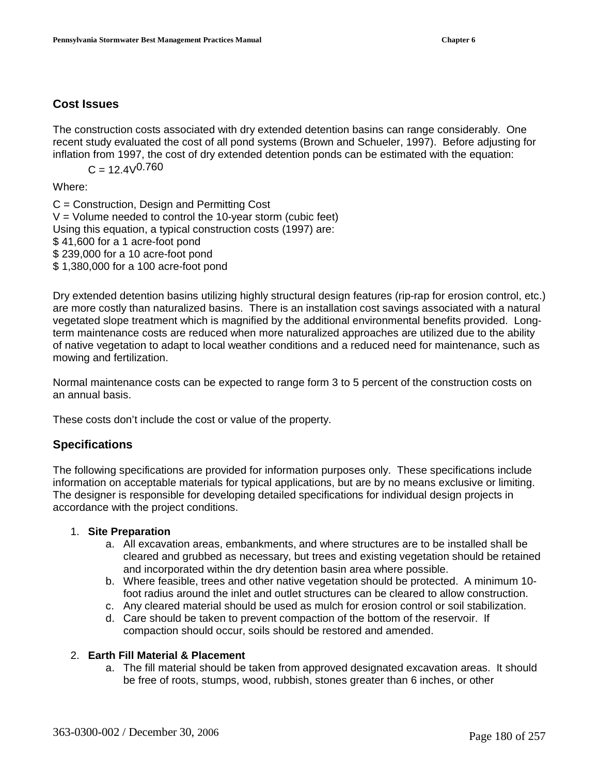# **Cost Issues**

The construction costs associated with dry extended detention basins can range considerably. One recent study evaluated the cost of all pond systems (Brown and Schueler, 1997). Before adjusting for inflation from 1997, the cost of dry extended detention ponds can be estimated with the equation:

 $C = 12.4 \sqrt{0.760}$ 

Where:

C = Construction, Design and Permitting Cost  $V =$  Volume needed to control the 10-year storm (cubic feet) Using this equation, a typical construction costs (1997) are: \$ 41,600 for a 1 acre-foot pond \$ 239,000 for a 10 acre-foot pond \$ 1,380,000 for a 100 acre-foot pond

Dry extended detention basins utilizing highly structural design features (rip-rap for erosion control, etc.) are more costly than naturalized basins. There is an installation cost savings associated with a natural vegetated slope treatment which is magnified by the additional environmental benefits provided. Longterm maintenance costs are reduced when more naturalized approaches are utilized due to the ability of native vegetation to adapt to local weather conditions and a reduced need for maintenance, such as mowing and fertilization.

Normal maintenance costs can be expected to range form 3 to 5 percent of the construction costs on an annual basis.

These costs don't include the cost or value of the property.

# **Specifications**

The following specifications are provided for information purposes only. These specifications include information on acceptable materials for typical applications, but are by no means exclusive or limiting. The designer is responsible for developing detailed specifications for individual design projects in accordance with the project conditions.

## 1. **Site Preparation**

- a. All excavation areas, embankments, and where structures are to be installed shall be cleared and grubbed as necessary, but trees and existing vegetation should be retained and incorporated within the dry detention basin area where possible.
- b. Where feasible, trees and other native vegetation should be protected. A minimum 10 foot radius around the inlet and outlet structures can be cleared to allow construction.
- c. Any cleared material should be used as mulch for erosion control or soil stabilization.
- d. Care should be taken to prevent compaction of the bottom of the reservoir. If compaction should occur, soils should be restored and amended.

#### 2. **Earth Fill Material & Placement**

a. The fill material should be taken from approved designated excavation areas. It should be free of roots, stumps, wood, rubbish, stones greater than 6 inches, or other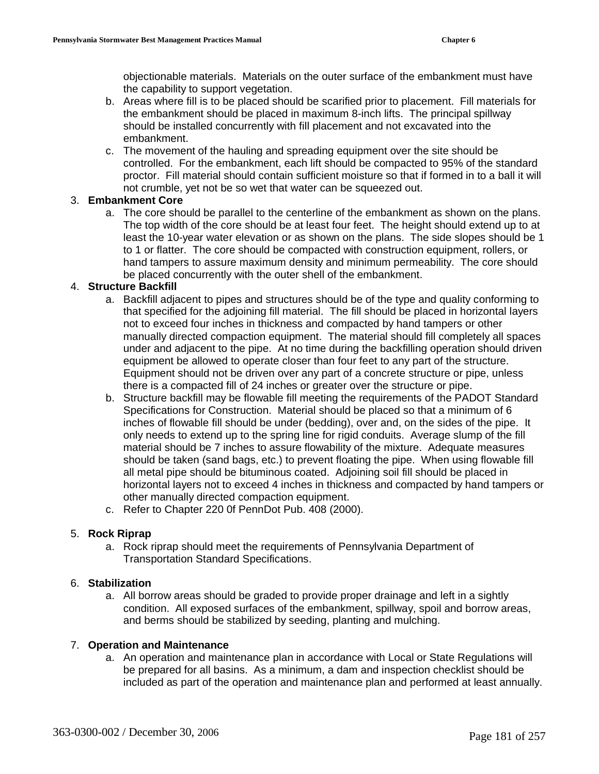objectionable materials. Materials on the outer surface of the embankment must have the capability to support vegetation.

- b. Areas where fill is to be placed should be scarified prior to placement. Fill materials for the embankment should be placed in maximum 8-inch lifts. The principal spillway should be installed concurrently with fill placement and not excavated into the embankment.
- c. The movement of the hauling and spreading equipment over the site should be controlled. For the embankment, each lift should be compacted to 95% of the standard proctor. Fill material should contain sufficient moisture so that if formed in to a ball it will not crumble, yet not be so wet that water can be squeezed out.

## 3. **Embankment Core**

a. The core should be parallel to the centerline of the embankment as shown on the plans. The top width of the core should be at least four feet. The height should extend up to at least the 10-year water elevation or as shown on the plans. The side slopes should be 1 to 1 or flatter. The core should be compacted with construction equipment, rollers, or hand tampers to assure maximum density and minimum permeability. The core should be placed concurrently with the outer shell of the embankment.

#### 4. **Structure Backfill**

- a. Backfill adjacent to pipes and structures should be of the type and quality conforming to that specified for the adjoining fill material. The fill should be placed in horizontal layers not to exceed four inches in thickness and compacted by hand tampers or other manually directed compaction equipment. The material should fill completely all spaces under and adjacent to the pipe. At no time during the backfilling operation should driven equipment be allowed to operate closer than four feet to any part of the structure. Equipment should not be driven over any part of a concrete structure or pipe, unless there is a compacted fill of 24 inches or greater over the structure or pipe.
- b. Structure backfill may be flowable fill meeting the requirements of the PADOT Standard Specifications for Construction. Material should be placed so that a minimum of 6 inches of flowable fill should be under (bedding), over and, on the sides of the pipe. It only needs to extend up to the spring line for rigid conduits. Average slump of the fill material should be 7 inches to assure flowability of the mixture. Adequate measures should be taken (sand bags, etc.) to prevent floating the pipe. When using flowable fill all metal pipe should be bituminous coated. Adjoining soil fill should be placed in horizontal layers not to exceed 4 inches in thickness and compacted by hand tampers or other manually directed compaction equipment.
- c. Refer to Chapter 220 0f PennDot Pub. 408 (2000).

#### 5. **Rock Riprap**

a. Rock riprap should meet the requirements of Pennsylvania Department of Transportation Standard Specifications.

#### 6. **Stabilization**

a. All borrow areas should be graded to provide proper drainage and left in a sightly condition. All exposed surfaces of the embankment, spillway, spoil and borrow areas, and berms should be stabilized by seeding, planting and mulching.

#### 7. **Operation and Maintenance**

a. An operation and maintenance plan in accordance with Local or State Regulations will be prepared for all basins. As a minimum, a dam and inspection checklist should be included as part of the operation and maintenance plan and performed at least annually.